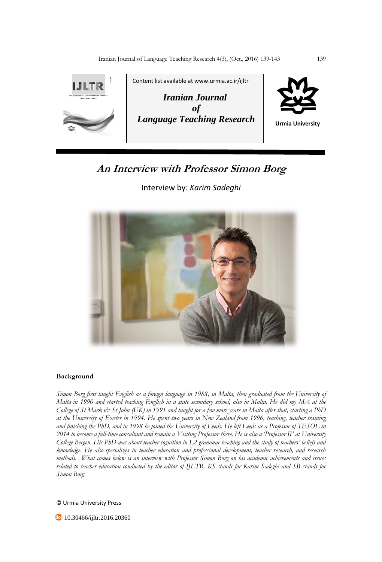

## **An Interview with Professor Simon Borg**

Interview by: *Karim Sadeghi*



## **Background**

*Simon Borg first taught English as a foreign language in 1988, in Malta, then graduated from the University of Malta in 1990 and started teaching English in a state secondary school, also in Malta. He did my MA at the College of St Mark & St John (UK) in 1991 and taught for a few more years in Malta after that, starting a PhD at the University of Exeter in 1994. He spent two years in New Zealand from 1996, teaching, teacher training and finishing the PhD, and in 1998 he joined the University of Leeds. He left Leeds as a Professor of TESOL in 2014 to become a full-time consultant and remain a Visiting Professor there. He is also a 'Professor II' at University College Bergen. His PhD was about teacher cognition in L2 grammar teaching and the study of teachers' beliefs and knowledge. He also specializes in teacher education and professional development, teacher research, and research methods. What comes below is an interview with Professor Simon Borg on his academic achievements and issues related to teacher education conducted by the editor of IJLTR. KS stands for Karim Sadeghi and SB stands for Simon Borg.*

© Urmia University Press

**<sup>60</sup>** 10.30466/ijltr.2016.20360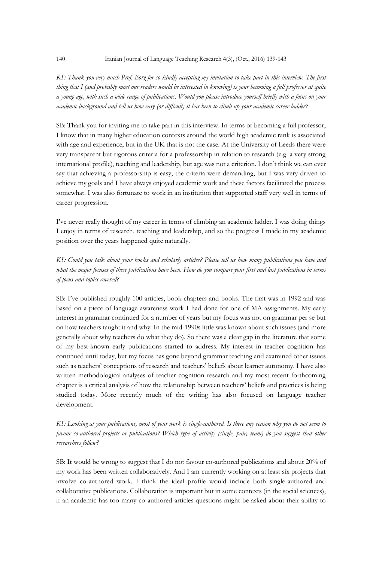*KS: Thank you very much Prof. Borg for so kindly accepting my invitation to take part in this interview. The first thing that I (and probably most our readers would be interested in knowing) is your becoming a full professor at quite a young age, with such a wide range of publications. Would you please introduce yourself briefly with a focus on your academic background and tell us how easy (or difficult) it has been to climb up your academic career ladder?* 

SB: Thank you for inviting me to take part in this interview. In terms of becoming a full professor, I know that in many higher education contexts around the world high academic rank is associated with age and experience, but in the UK that is not the case. At the University of Leeds there were very transparent but rigorous criteria for a professorship in relation to research (e.g. a very strong international profile), teaching and leadership, but age was not a criterion. I don't think we can ever say that achieving a professorship is easy; the criteria were demanding, but I was very driven to achieve my goals and I have always enjoyed academic work and these factors facilitated the process somewhat. I was also fortunate to work in an institution that supported staff very well in terms of career progression.

I've never really thought of my career in terms of climbing an academic ladder. I was doing things I enjoy in terms of research, teaching and leadership, and so the progress I made in my academic position over the years happened quite naturally.

*KS: Could you talk about your books and scholarly articles? Please tell us how many publications you have and what the major focuses of these publications have been. How do you compare your first and last publications in terms of focus and topics covered?*

SB: I've published roughly 100 articles, book chapters and books. The first was in 1992 and was based on a piece of language awareness work I had done for one of MA assignments. My early interest in grammar continued for a number of years but my focus was not on grammar per se but on how teachers taught it and why. In the mid-1990s little was known about such issues (and more generally about why teachers do what they do). So there was a clear gap in the literature that some of my best-known early publications started to address. My interest in teacher cognition has continued until today, but my focus has gone beyond grammar teaching and examined other issues such as teachers' conceptions of research and teachers' beliefs about learner autonomy. I have also written methodological analyses of teacher cognition research and my most recent forthcoming chapter is a critical analysis of how the relationship between teachers' beliefs and practices is being studied today. More recently much of the writing has also focused on language teacher development.

*KS: Looking at your publications, most of your work is single-authored. Is there any reason why you do not seem to favour co-authored projects or publications? Which type of activity (single, pair, team) do you suggest that other researchers follow?*

SB: It would be wrong to suggest that I do not favour co-authored publications and about 20% of my work has been written collaboratively. And I am currently working on at least six projects that involve co-authored work. I think the ideal profile would include both single-authored and collaborative publications. Collaboration is important but in some contexts (in the social sciences), if an academic has too many co-authored articles questions might be asked about their ability to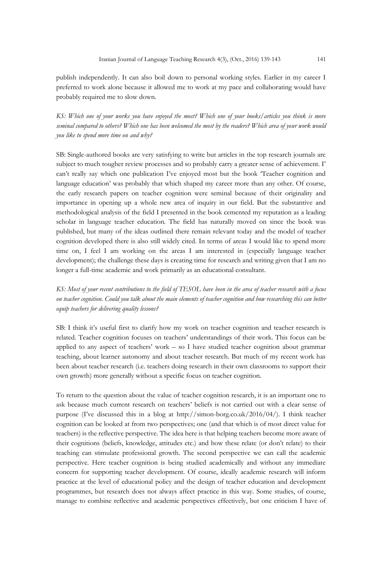publish independently. It can also boil down to personal working styles. Earlier in my career I preferred to work alone because it allowed me to work at my pace and collaborating would have probably required me to slow down.

*KS: Which one of your works you have enjoyed the most? Which one of your books/articles you think is more seminal compared to others? Which one has been welcomed the most by the readers? Which area of your work would you like to spend more time on and why?*

SB: Single-authored books are very satisfying to write but articles in the top research journals are subject to much tougher review processes and so probably carry a greater sense of achievement. I' can't really say which one publication I've enjoyed most but the book 'Teacher cognition and language education' was probably that which shaped my career more than any other. Of course, the early research papers on teacher cognition were seminal because of their originality and importance in opening up a whole new area of inquiry in our field. But the substantive and methodological analysis of the field I presented in the book cemented my reputation as a leading scholar in language teacher education. The field has naturally moved on since the book was published, but many of the ideas outlined there remain relevant today and the model of teacher cognition developed there is also still widely cited. In terms of areas I would like to spend more time on, I feel I am working on the areas I am interested in (especially language teacher development); the challenge these days is creating time for research and writing given that I am no longer a full-time academic and work primarily as an educational consultant.

*KS: Most of your recent contributions to the field of TESOL have been in the area of teacher research with a focus on teacher cognition. Could you talk about the main elements of teacher cognition and how researching this can better equip teachers for delivering quality lessons?*

SB: I think it's useful first to clarify how my work on teacher cognition and teacher research is related. Teacher cognition focuses on teachers' understandings of their work. This focus can be applied to any aspect of teachers' work – so I have studied teacher cognition about grammar teaching, about learner autonomy and about teacher research. But much of my recent work has been about teacher research (i.e. teachers doing research in their own classrooms to support their own growth) more generally without a specific focus on teacher cognition.

To return to the question about the value of teacher cognition research, it is an important one to ask because much current research on teachers' beliefs is not carried out with a clear sense of purpose (I've discussed this in a blog at http://simon-borg.co.uk/2016/04/). I think teacher cognition can be looked at from two perspectives; one (and that which is of most direct value for teachers) is the reflective perspective. The idea here is that helping teachers become more aware of their cognitions (beliefs, knowledge, attitudes etc.) and how these relate (or don't relate) to their teaching can stimulate professional growth. The second perspective we can call the academic perspective. Here teacher cognition is being studied academically and without any immediate concern for supporting teacher development. Of course, ideally academic research will inform practice at the level of educational policy and the design of teacher education and development programmes, but research does not always affect practice in this way. Some studies, of course, manage to combine reflective and academic perspectives effectively, but one criticism I have of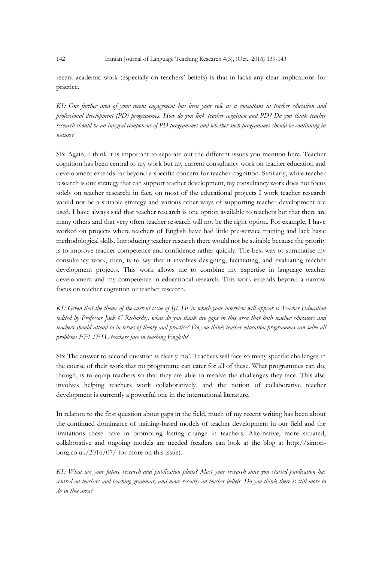recent academic work (especially on teachers' beliefs) is that in lacks any clear implications for practice.

*KS: One further area of your recent engagement has been your role as a consultant in teacher education and professional development (PD) programmes. How do you link teacher cognition and PD? Do you think teacher research should be an integral component of PD programmes and whether such programmes should be continuing in nature?*

SB: Again, I think it is important to separate out the different issues you mention here. Teacher cognition has been central to my work but my current consultancy work on teacher education and development extends far beyond a specific concern for teacher cognition. Similarly, while teacher research is one strategy that can support teacher development, my consultancy work does not focus solely on teacher research; in fact, on most of the educational projects I work teacher research would not be a suitable strategy and various other ways of supporting teacher development are used. I have always said that teacher research is one option available to teachers but that there are many others and that very often teacher research will not be the right option. For example, I have worked on projects where teachers of English have had little pre-service training and lack basic methodological skills. Introducing teacher research there would not be suitable because the priority is to improve teacher competence and confidence rather quickly. The best way to summarise my consultancy work, then, is to say that it involves designing, facilitating, and evaluating teacher development projects. This work allows me to combine my expertise in language teacher development and my competence in educational research. This work extends beyond a narrow focus on teacher cognition or teacher research.

*KS: Given that the theme of the current issue of IJLTR in which your interview will appear is Teacher Education (edited by Professor Jack C Richards), what do you think are gaps in this area that both teacher educators and teachers should attend to in terms of theory and practice? Do you think teacher education programmes can solve all problems EFL/ESL teachers face in teaching English?*

SB: The answer to second question is clearly 'no'. Teachers will face so many specific challenges in the course of their work that no programme can cater for all of these. What programmes can do, though, is to equip teachers so that they are able to resolve the challenges they face. This also involves helping teachers work collaboratively, and the notion of collaborative teacher development is currently a powerful one in the international literature.

In relation to the first question about gaps in the field, much of my recent writing has been about the continued dominance of training-based models of teacher development in our field and the limitations these have in promoting lasting change in teachers. Alternative, more situated, collaborative and ongoing models are needed (readers can look at the blog at http://simonborg.co.uk/2016/07/ for more on this issue).

*KS: What are your future research and publication plans? Most your research since you started publication has centred on teachers and teaching grammar, and more recently on teacher beliefs. Do you think there is still more to do in this area?*